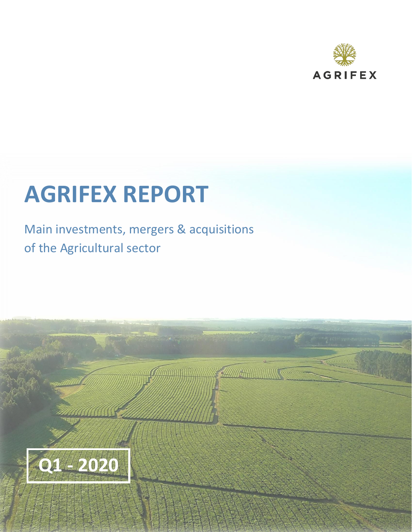

# **AGRIFEX REPORT**

Main investments, mergers & acquisitions of the Agricultural sector

The Company of the Company of the Company of the Company of the Company of The Company of The Company of The Company

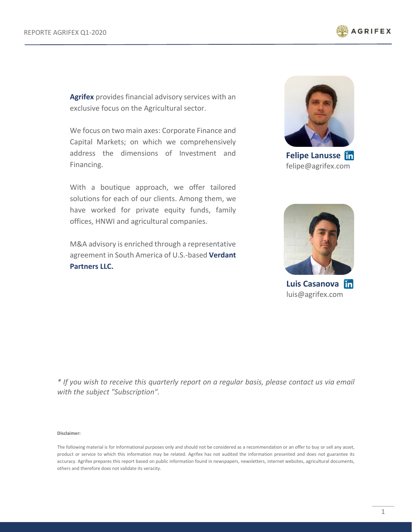

**[Agrifex](http://www.agrifex.com/)** provides financial advisory services with an exclusive focus on the Agricultural sector.

We focus on two main axes: Corporate Finance and Capital Markets; on which we comprehensively address the dimensions of Investment and Financing.

With a boutique approach, we offer tailored solutions for each of our clients. Among them, we have worked for private equity funds, family offices, HNWI and agricultural companies.

M&A advisory is enriched through a representative agreement in South America of U.S.-based **[Verdant](http://www.verdantpartners.com/)  [Partners LLC.](http://www.verdantpartners.com/)**



**Felipe Lanusse** felipe@agrifex.com



**Luis Casanova** luis@agrifex.com

*\* If you wish to receive this quarterly report on a regular basis, please contact us via email with the subject "Subscription".*

**Disclaimer:**

The following material is for informational purposes only and should not be considered as a recommendation or an offer to buy or sell any asset, product or service to which this information may be related. Agrifex has not audited the information presented and does not guarantee its accuracy. Agrifex prepares this report based on public information found in newspapers, newsletters, internet websites, agricultural documents, others and therefore does not validate its veracity.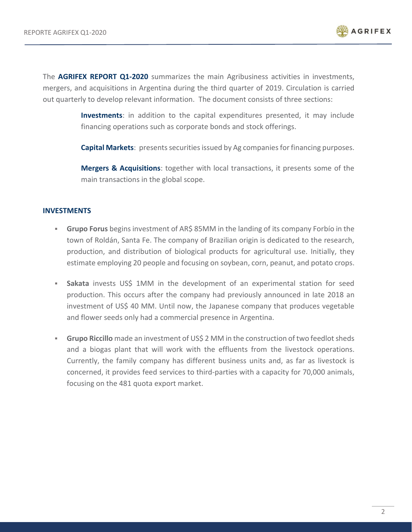

The **AGRIFEX REPORT Q1-2020** summarizes the main Agribusiness activities in investments, mergers, and acquisitions in Argentina during the third quarter of 2019. Circulation is carried out quarterly to develop relevant information. The document consists of three sections:

> **Investments**: in addition to the capital expenditures presented, it may include financing operations such as corporate bonds and stock offerings.

> **Capital Markets:** presents securities issued by Ag companies for financing purposes.

**Mergers & Acquisitions**: together with local transactions, it presents some of the main transactions in the global scope.

### **INVESTMENTS**

- **Grupo Forus** begins investment of AR\$ 85MM in the landing of its company Forbío in the town of Roldán, Santa Fe. The company of Brazilian origin is dedicated to the research, production, and distribution of biological products for agricultural use. Initially, they estimate employing 20 people and focusing on soybean, corn, peanut, and potato crops.
- **EXEL Sakata** invests US\$ 1MM in the development of an experimental station for seed production. This occurs after the company had previously announced in late 2018 an investment of US\$ 40 MM. Until now, the Japanese company that produces vegetable and flower seeds only had a commercial presence in Argentina.
- **Grupo Riccillo** made an investment of US\$ 2 MM in the construction of two feedlot sheds and a biogas plant that will work with the effluents from the livestock operations. Currently, the family company has different business units and, as far as livestock is concerned, it provides feed services to third-parties with a capacity for 70,000 animals, focusing on the 481 quota export market.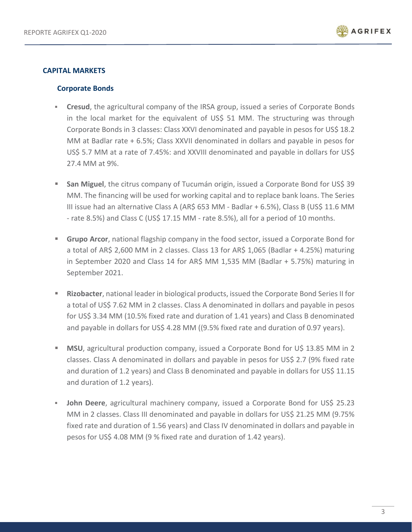

## **CAPITAL MARKETS**

### **Corporate Bonds**

- **Cresud**, the agricultural company of the IRSA group, issued a series of Corporate Bonds in the local market for the equivalent of US\$ 51 MM. The structuring was through Corporate Bonds in 3 classes: Class XXVI denominated and payable in pesos for US\$ 18.2 MM at Badlar rate + 6.5%; Class XXVII denominated in dollars and payable in pesos for US\$ 5.7 MM at a rate of 7.45%: and XXVIII denominated and payable in dollars for US\$ 27.4 MM at 9%.
- **EXT** San Miguel, the citrus company of Tucumán origin, issued a Corporate Bond for US\$ 39 MM. The financing will be used for working capital and to replace bank loans. The Series III issue had an alternative Class A (AR\$ 653 MM - Badlar + 6.5%), Class B (US\$ 11.6 MM - rate 8.5%) and Class C (US\$ 17.15 MM - rate 8.5%), all for a period of 10 months.
- **<sup>■</sup>** Grupo Arcor, national flagship company in the food sector, issued a Corporate Bond for a total of AR\$ 2,600 MM in 2 classes. Class 13 for AR\$ 1,065 (Badlar + 4.25%) maturing in September 2020 and Class 14 for AR\$ MM 1,535 MM (Badlar + 5.75%) maturing in September 2021.
- **Rizobacter**, national leader in biological products, issued the Corporate Bond Series II for a total of US\$ 7.62 MM in 2 classes. Class A denominated in dollars and payable in pesos for US\$ 3.34 MM (10.5% fixed rate and duration of 1.41 years) and Class B denominated and payable in dollars for US\$ 4.28 MM ((9.5% fixed rate and duration of 0.97 years).
- **EXECT** MSU, agricultural production company, issued a Corporate Bond for U\$ 13.85 MM in 2 classes. Class A denominated in dollars and payable in pesos for US\$ 2.7 (9% fixed rate and duration of 1.2 years) and Class B denominated and payable in dollars for US\$ 11.15 and duration of 1.2 years).
- **John Deere**, agricultural machinery company, issued a Corporate Bond for US\$ 25.23 MM in 2 classes. Class III denominated and payable in dollars for US\$ 21.25 MM (9.75% fixed rate and duration of 1.56 years) and Class IV denominated in dollars and payable in pesos for US\$ 4.08 MM (9 % fixed rate and duration of 1.42 years).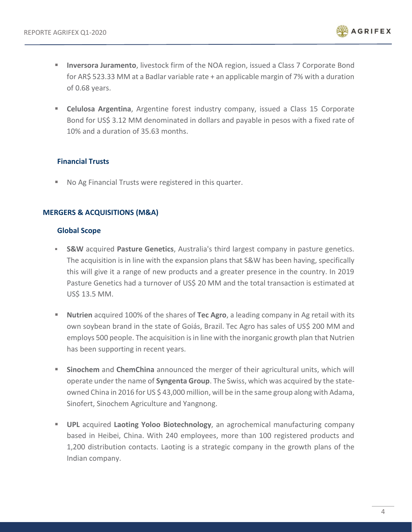

- **Inversora Juramento**, livestock firm of the NOA region, issued a Class 7 Corporate Bond for AR\$ 523.33 MM at a Badlar variable rate + an applicable margin of 7% with a duration of 0.68 years.
- **E Celulosa Argentina**, Argentine forest industry company, issued a Class 15 Corporate Bond for US\$ 3.12 MM denominated in dollars and payable in pesos with a fixed rate of 10% and a duration of 35.63 months.

# **Financial Trusts**

■ No Ag Financial Trusts were registered in this quarter.

# **MERGERS & ACQUISITIONS (M&A)**

## **Global Scope**

- **S&W** acquired **Pasture Genetics**, Australia's third largest company in pasture genetics. The acquisition is in line with the expansion plans that S&W has been having, specifically this will give it a range of new products and a greater presence in the country. In 2019 Pasture Genetics had a turnover of US\$ 20 MM and the total transaction is estimated at US\$ 13.5 MM.
- **Nutrien** acquired 100% of the shares of **Tec Agro**, a leading company in Ag retail with its own soybean brand in the state of Goiás, Brazil. Tec Agro has sales of US\$ 200 MM and employs 500 people. The acquisition is in line with the inorganic growth plan that Nutrien has been supporting in recent years.
- **Sinochem** and **ChemChina** announced the merger of their agricultural units, which will operate under the name of **Syngenta Group**. The Swiss, which was acquired by the stateowned China in 2016 for US \$ 43,000 million, will be in the same group along with Adama, Sinofert, Sinochem Agriculture and Yangnong.
- **UPL** acquired Laoting Yoloo Biotechnology, an agrochemical manufacturing company based in Heibei, China. With 240 employees, more than 100 registered products and 1,200 distribution contacts. Laoting is a strategic company in the growth plans of the Indian company.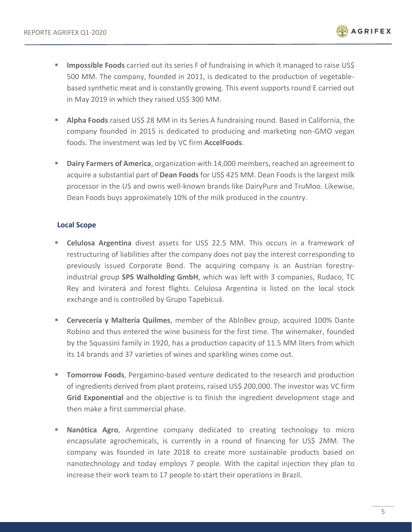

- **Impossible Foods** carried out its series F of fundraising in which it managed to raise US\$ 500 MM. The company, founded in 2011, is dedicated to the production of vegetablebased synthetic meat and is constantly growing. This event supports round E carried out in May 2019 in which they raised US\$ 300 MM.
- **EXECT Alpha Foods** raised US\$ 28 MM in its Series A fundraising round. Based in California, the company founded in 2015 is dedicated to producing and marketing non-GMO vegan foods. The investment was led by VC firm **AccelFoods**.
- **EXECT** Dairy Farmers of America, organization with 14,000 members, reached an agreement to acquire a substantial part of **Dean Foods** for US\$ 425 MM. Dean Foods is the largest milk processor in the US and owns well-known brands like DairyPure and TruMoo. Likewise, Dean Foods buys approximately 10% of the milk produced in the country.

## **Local Scope**

- **Celulosa Argentina** divest assets for US\$ 22.5 MM. This occurs in a framework of restructuring of liabilities after the company does not pay the interest corresponding to previously issued Corporate Bond. The acquiring company is an Austrian forestryindustrial group **SPS Walholding GmbH**, which was left with 3 companies, Rudaco, TC Rey and Iviraterá and forest flights. Celulosa Argentina is listed on the local stock exchange and is controlled by Grupo Tapebicuá.
- **Cervecería y Maltería Quilmes**, member of the AbInBev group, acquired 100% Dante Robino and thus entered the wine business for the first time. The winemaker, founded by the Squassini family in 1920, has a production capacity of 11.5 MM liters from which its 14 brands and 37 varieties of wines and sparkling wines come out.
- **Tomorrow Foods**, Pergamino-based venture dedicated to the research and production of ingredients derived from plant proteins, raised US\$ 200,000. The investor was VC firm **Grid Exponential** and the objective is to finish the ingredient development stage and then make a first commercial phase.
- **E** Nanótica Agro, Argentine company dedicated to creating technology to micro encapsulate agrochemicals, is currently in a round of financing for US\$ 2MM. The company was founded in late 2018 to create more sustainable products based on nanotechnology and today employs 7 people. With the capital injection they plan to increase their work team to 17 people to start their operations in Brazil.